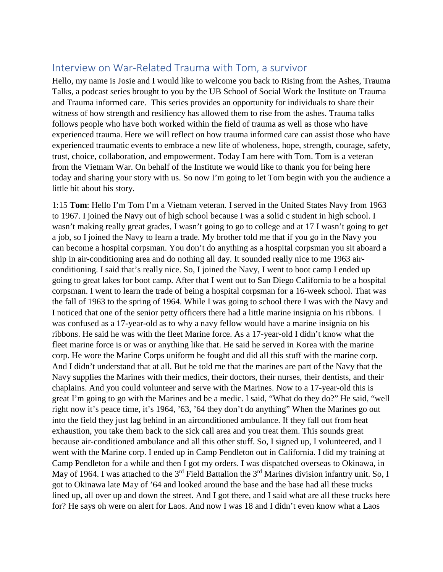## Interview on War-Related Trauma with Tom, a survivor

Hello, my name is Josie and I would like to welcome you back to Rising from the Ashes, Trauma Talks, a podcast series brought to you by the UB School of Social Work the Institute on Trauma and Trauma informed care. This series provides an opportunity for individuals to share their witness of how strength and resiliency has allowed them to rise from the ashes. Trauma talks follows people who have both worked within the field of trauma as well as those who have experienced trauma. Here we will reflect on how trauma informed care can assist those who have experienced traumatic events to embrace a new life of wholeness, hope, strength, courage, safety, trust, choice, collaboration, and empowerment. Today I am here with Tom. Tom is a veteran from the Vietnam War. On behalf of the Institute we would like to thank you for being here today and sharing your story with us. So now I'm going to let Tom begin with you the audience a little bit about his story.

1:15 **Tom**: Hello I'm Tom I'm a Vietnam veteran. I served in the United States Navy from 1963 to 1967. I joined the Navy out of high school because I was a solid c student in high school. I wasn't making really great grades, I wasn't going to go to college and at 17 I wasn't going to get a job, so I joined the Navy to learn a trade. My brother told me that if you go in the Navy you can become a hospital corpsman. You don't do anything as a hospital corpsman you sit aboard a ship in air-conditioning area and do nothing all day. It sounded really nice to me 1963 airconditioning. I said that's really nice. So, I joined the Navy, I went to boot camp I ended up going to great lakes for boot camp. After that I went out to San Diego California to be a hospital corpsman. I went to learn the trade of being a hospital corpsman for a 16-week school. That was the fall of 1963 to the spring of 1964. While I was going to school there I was with the Navy and I noticed that one of the senior petty officers there had a little marine insignia on his ribbons. I was confused as a 17-year-old as to why a navy fellow would have a marine insignia on his ribbons. He said he was with the fleet Marine force. As a 17-year-old I didn't know what the fleet marine force is or was or anything like that. He said he served in Korea with the marine corp. He wore the Marine Corps uniform he fought and did all this stuff with the marine corp. And I didn't understand that at all. But he told me that the marines are part of the Navy that the Navy supplies the Marines with their medics, their doctors, their nurses, their dentists, and their chaplains. And you could volunteer and serve with the Marines. Now to a 17-year-old this is great I'm going to go with the Marines and be a medic. I said, "What do they do?" He said, "well right now it's peace time, it's 1964, '63, '64 they don't do anything" When the Marines go out into the field they just lag behind in an airconditioned ambulance. If they fall out from heat exhaustion, you take them back to the sick call area and you treat them. This sounds great because air-conditioned ambulance and all this other stuff. So, I signed up, I volunteered, and I went with the Marine corp. I ended up in Camp Pendleton out in California. I did my training at Camp Pendleton for a while and then I got my orders. I was dispatched overseas to Okinawa, in May of 1964. I was attached to the 3<sup>rd</sup> Field Battalion the 3<sup>rd</sup> Marines division infantry unit. So, I got to Okinawa late May of '64 and looked around the base and the base had all these trucks lined up, all over up and down the street. And I got there, and I said what are all these trucks here for? He says oh were on alert for Laos. And now I was 18 and I didn't even know what a Laos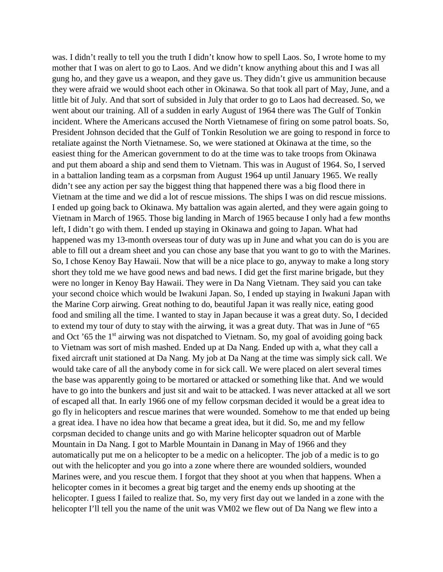was. I didn't really to tell you the truth I didn't know how to spell Laos. So, I wrote home to my mother that I was on alert to go to Laos. And we didn't know anything about this and I was all gung ho, and they gave us a weapon, and they gave us. They didn't give us ammunition because they were afraid we would shoot each other in Okinawa. So that took all part of May, June, and a little bit of July. And that sort of subsided in July that order to go to Laos had decreased. So, we went about our training. All of a sudden in early August of 1964 there was The Gulf of Tonkin incident. Where the Americans accused the North Vietnamese of firing on some patrol boats. So, President Johnson decided that the Gulf of Tonkin Resolution we are going to respond in force to retaliate against the North Vietnamese. So, we were stationed at Okinawa at the time, so the easiest thing for the American government to do at the time was to take troops from Okinawa and put them aboard a ship and send them to Vietnam. This was in August of 1964. So, I served in a battalion landing team as a corpsman from August 1964 up until January 1965. We really didn't see any action per say the biggest thing that happened there was a big flood there in Vietnam at the time and we did a lot of rescue missions. The ships I was on did rescue missions. I ended up going back to Okinawa. My battalion was again alerted, and they were again going to Vietnam in March of 1965. Those big landing in March of 1965 because I only had a few months left, I didn't go with them. I ended up staying in Okinawa and going to Japan. What had happened was my 13-month overseas tour of duty was up in June and what you can do is you are able to fill out a dream sheet and you can chose any base that you want to go to with the Marines. So, I chose Kenoy Bay Hawaii. Now that will be a nice place to go, anyway to make a long story short they told me we have good news and bad news. I did get the first marine brigade, but they were no longer in Kenoy Bay Hawaii. They were in Da Nang Vietnam. They said you can take your second choice which would be Iwakuni Japan. So, I ended up staying in Iwakuni Japan with the Marine Corp airwing. Great nothing to do, beautiful Japan it was really nice, eating good food and smiling all the time. I wanted to stay in Japan because it was a great duty. So, I decided to extend my tour of duty to stay with the airwing, it was a great duty. That was in June of "65 and Oct '65 the 1<sup>st</sup> airwing was not dispatched to Vietnam. So, my goal of avoiding going back to Vietnam was sort of mish mashed. Ended up at Da Nang. Ended up with a, what they call a fixed aircraft unit stationed at Da Nang. My job at Da Nang at the time was simply sick call. We would take care of all the anybody come in for sick call. We were placed on alert several times the base was apparently going to be mortared or attacked or something like that. And we would have to go into the bunkers and just sit and wait to be attacked. I was never attacked at all we sort of escaped all that. In early 1966 one of my fellow corpsman decided it would be a great idea to go fly in helicopters and rescue marines that were wounded. Somehow to me that ended up being a great idea. I have no idea how that became a great idea, but it did. So, me and my fellow corpsman decided to change units and go with Marine helicopter squadron out of Marble Mountain in Da Nang. I got to Marble Mountain in Danang in May of 1966 and they automatically put me on a helicopter to be a medic on a helicopter. The job of a medic is to go out with the helicopter and you go into a zone where there are wounded soldiers, wounded Marines were, and you rescue them. I forgot that they shoot at you when that happens. When a helicopter comes in it becomes a great big target and the enemy ends up shooting at the helicopter. I guess I failed to realize that. So, my very first day out we landed in a zone with the helicopter I'll tell you the name of the unit was VM02 we flew out of Da Nang we flew into a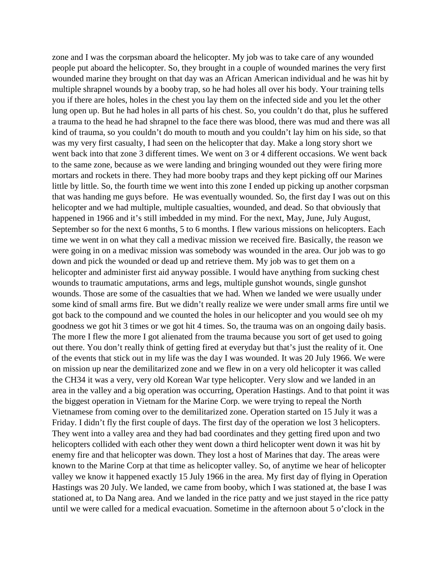zone and I was the corpsman aboard the helicopter. My job was to take care of any wounded people put aboard the helicopter. So, they brought in a couple of wounded marines the very first wounded marine they brought on that day was an African American individual and he was hit by multiple shrapnel wounds by a booby trap, so he had holes all over his body. Your training tells you if there are holes, holes in the chest you lay them on the infected side and you let the other lung open up. But he had holes in all parts of his chest. So, you couldn't do that, plus he suffered a trauma to the head he had shrapnel to the face there was blood, there was mud and there was all kind of trauma, so you couldn't do mouth to mouth and you couldn't lay him on his side, so that was my very first casualty, I had seen on the helicopter that day. Make a long story short we went back into that zone 3 different times. We went on 3 or 4 different occasions. We went back to the same zone, because as we were landing and bringing wounded out they were firing more mortars and rockets in there. They had more booby traps and they kept picking off our Marines little by little. So, the fourth time we went into this zone I ended up picking up another corpsman that was handing me guys before. He was eventually wounded. So, the first day I was out on this helicopter and we had multiple, multiple casualties, wounded, and dead. So that obviously that happened in 1966 and it's still imbedded in my mind. For the next, May, June, July August, September so for the next 6 months, 5 to 6 months. I flew various missions on helicopters. Each time we went in on what they call a medivac mission we received fire. Basically, the reason we were going in on a medivac mission was somebody was wounded in the area. Our job was to go down and pick the wounded or dead up and retrieve them. My job was to get them on a helicopter and administer first aid anyway possible. I would have anything from sucking chest wounds to traumatic amputations, arms and legs, multiple gunshot wounds, single gunshot wounds. Those are some of the casualties that we had. When we landed we were usually under some kind of small arms fire. But we didn't really realize we were under small arms fire until we got back to the compound and we counted the holes in our helicopter and you would see oh my goodness we got hit 3 times or we got hit 4 times. So, the trauma was on an ongoing daily basis. The more I flew the more I got alienated from the trauma because you sort of get used to going out there. You don't really think of getting fired at everyday but that's just the reality of it. One of the events that stick out in my life was the day I was wounded. It was 20 July 1966. We were on mission up near the demilitarized zone and we flew in on a very old helicopter it was called the CH34 it was a very, very old Korean War type helicopter. Very slow and we landed in an area in the valley and a big operation was occurring, Operation Hastings. And to that point it was the biggest operation in Vietnam for the Marine Corp. we were trying to repeal the North Vietnamese from coming over to the demilitarized zone. Operation started on 15 July it was a Friday. I didn't fly the first couple of days. The first day of the operation we lost 3 helicopters. They went into a valley area and they had bad coordinates and they getting fired upon and two helicopters collided with each other they went down a third helicopter went down it was hit by enemy fire and that helicopter was down. They lost a host of Marines that day. The areas were known to the Marine Corp at that time as helicopter valley. So, of anytime we hear of helicopter valley we know it happened exactly 15 July 1966 in the area. My first day of flying in Operation Hastings was 20 July. We landed, we came from booby, which I was stationed at, the base I was stationed at, to Da Nang area. And we landed in the rice patty and we just stayed in the rice patty until we were called for a medical evacuation. Sometime in the afternoon about 5 o'clock in the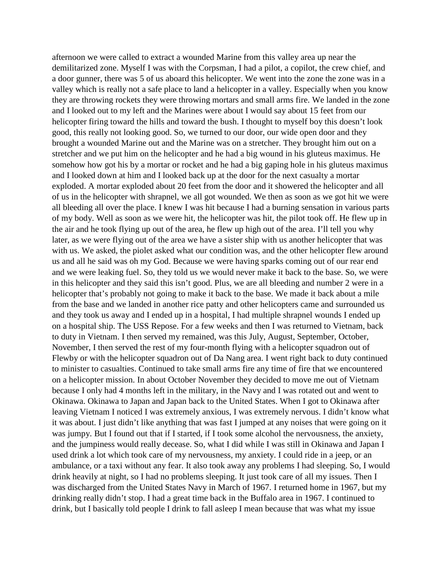afternoon we were called to extract a wounded Marine from this valley area up near the demilitarized zone. Myself I was with the Corpsman, I had a pilot, a copilot, the crew chief, and a door gunner, there was 5 of us aboard this helicopter. We went into the zone the zone was in a valley which is really not a safe place to land a helicopter in a valley. Especially when you know they are throwing rockets they were throwing mortars and small arms fire. We landed in the zone and I looked out to my left and the Marines were about I would say about 15 feet from our helicopter firing toward the hills and toward the bush. I thought to myself boy this doesn't look good, this really not looking good. So, we turned to our door, our wide open door and they brought a wounded Marine out and the Marine was on a stretcher. They brought him out on a stretcher and we put him on the helicopter and he had a big wound in his gluteus maximus. He somehow how got his by a mortar or rocket and he had a big gaping hole in his gluteus maximus and I looked down at him and I looked back up at the door for the next casualty a mortar exploded. A mortar exploded about 20 feet from the door and it showered the helicopter and all of us in the helicopter with shrapnel, we all got wounded. We then as soon as we got hit we were all bleeding all over the place. I knew I was hit because I had a burning sensation in various parts of my body. Well as soon as we were hit, the helicopter was hit, the pilot took off. He flew up in the air and he took flying up out of the area, he flew up high out of the area. I'll tell you why later, as we were flying out of the area we have a sister ship with us another helicopter that was with us. We asked, the piolet asked what our condition was, and the other helicopter flew around us and all he said was oh my God. Because we were having sparks coming out of our rear end and we were leaking fuel. So, they told us we would never make it back to the base. So, we were in this helicopter and they said this isn't good. Plus, we are all bleeding and number 2 were in a helicopter that's probably not going to make it back to the base. We made it back about a mile from the base and we landed in another rice patty and other helicopters came and surrounded us and they took us away and I ended up in a hospital, I had multiple shrapnel wounds I ended up on a hospital ship. The USS Repose. For a few weeks and then I was returned to Vietnam, back to duty in Vietnam. I then served my remained, was this July, August, September, October, November, I then served the rest of my four-month flying with a helicopter squadron out of Flewby or with the helicopter squadron out of Da Nang area. I went right back to duty continued to minister to casualties. Continued to take small arms fire any time of fire that we encountered on a helicopter mission. In about October November they decided to move me out of Vietnam because I only had 4 months left in the military, in the Navy and I was rotated out and went to Okinawa. Okinawa to Japan and Japan back to the United States. When I got to Okinawa after leaving Vietnam I noticed I was extremely anxious, I was extremely nervous. I didn't know what it was about. I just didn't like anything that was fast I jumped at any noises that were going on it was jumpy. But I found out that if I started, if I took some alcohol the nervousness, the anxiety, and the jumpiness would really decease. So, what I did while I was still in Okinawa and Japan I used drink a lot which took care of my nervousness, my anxiety. I could ride in a jeep, or an ambulance, or a taxi without any fear. It also took away any problems I had sleeping. So, I would drink heavily at night, so I had no problems sleeping. It just took care of all my issues. Then I was discharged from the United States Navy in March of 1967. I returned home in 1967, but my drinking really didn't stop. I had a great time back in the Buffalo area in 1967. I continued to drink, but I basically told people I drink to fall asleep I mean because that was what my issue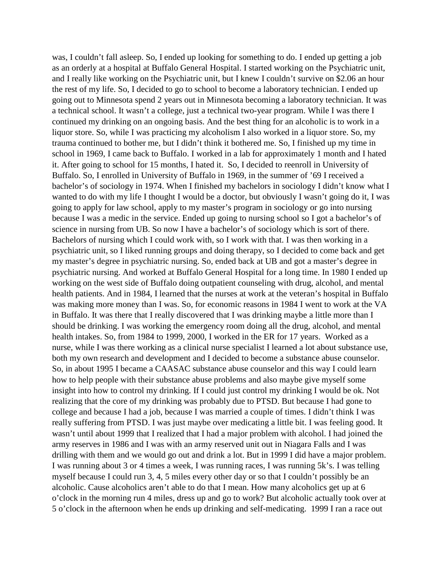was, I couldn't fall asleep. So, I ended up looking for something to do. I ended up getting a job as an orderly at a hospital at Buffalo General Hospital. I started working on the Psychiatric unit, and I really like working on the Psychiatric unit, but I knew I couldn't survive on \$2.06 an hour the rest of my life. So, I decided to go to school to become a laboratory technician. I ended up going out to Minnesota spend 2 years out in Minnesota becoming a laboratory technician. It was a technical school. It wasn't a college, just a technical two-year program. While I was there I continued my drinking on an ongoing basis. And the best thing for an alcoholic is to work in a liquor store. So, while I was practicing my alcoholism I also worked in a liquor store. So, my trauma continued to bother me, but I didn't think it bothered me. So, I finished up my time in school in 1969, I came back to Buffalo. I worked in a lab for approximately 1 month and I hated it. After going to school for 15 months, I hated it. So, I decided to reenroll in University of Buffalo. So, I enrolled in University of Buffalo in 1969, in the summer of '69 I received a bachelor's of sociology in 1974. When I finished my bachelors in sociology I didn't know what I wanted to do with my life I thought I would be a doctor, but obviously I wasn't going do it, I was going to apply for law school, apply to my master's program in sociology or go into nursing because I was a medic in the service. Ended up going to nursing school so I got a bachelor's of science in nursing from UB. So now I have a bachelor's of sociology which is sort of there. Bachelors of nursing which I could work with, so I work with that. I was then working in a psychiatric unit, so I liked running groups and doing therapy, so I decided to come back and get my master's degree in psychiatric nursing. So, ended back at UB and got a master's degree in psychiatric nursing. And worked at Buffalo General Hospital for a long time. In 1980 I ended up working on the west side of Buffalo doing outpatient counseling with drug, alcohol, and mental health patients. And in 1984, I learned that the nurses at work at the veteran's hospital in Buffalo was making more money than I was. So, for economic reasons in 1984 I went to work at the VA in Buffalo. It was there that I really discovered that I was drinking maybe a little more than I should be drinking. I was working the emergency room doing all the drug, alcohol, and mental health intakes. So, from 1984 to 1999, 2000, I worked in the ER for 17 years. Worked as a nurse, while I was there working as a clinical nurse specialist I learned a lot about substance use, both my own research and development and I decided to become a substance abuse counselor. So, in about 1995 I became a CAASAC substance abuse counselor and this way I could learn how to help people with their substance abuse problems and also maybe give myself some insight into how to control my drinking. If I could just control my drinking I would be ok. Not realizing that the core of my drinking was probably due to PTSD. But because I had gone to college and because I had a job, because I was married a couple of times. I didn't think I was really suffering from PTSD. I was just maybe over medicating a little bit. I was feeling good. It wasn't until about 1999 that I realized that I had a major problem with alcohol. I had joined the army reserves in 1986 and I was with an army reserved unit out in Niagara Falls and I was drilling with them and we would go out and drink a lot. But in 1999 I did have a major problem. I was running about 3 or 4 times a week, I was running races, I was running 5k's. I was telling myself because I could run 3, 4, 5 miles every other day or so that I couldn't possibly be an alcoholic. Cause alcoholics aren't able to do that I mean. How many alcoholics get up at 6 o'clock in the morning run 4 miles, dress up and go to work? But alcoholic actually took over at 5 o'clock in the afternoon when he ends up drinking and self-medicating. 1999 I ran a race out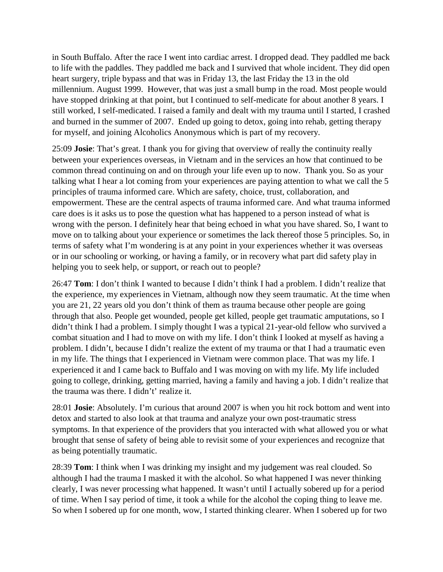in South Buffalo. After the race I went into cardiac arrest. I dropped dead. They paddled me back to life with the paddles. They paddled me back and I survived that whole incident. They did open heart surgery, triple bypass and that was in Friday 13, the last Friday the 13 in the old millennium. August 1999. However, that was just a small bump in the road. Most people would have stopped drinking at that point, but I continued to self-medicate for about another 8 years. I still worked, I self-medicated. I raised a family and dealt with my trauma until I started, I crashed and burned in the summer of 2007. Ended up going to detox, going into rehab, getting therapy for myself, and joining Alcoholics Anonymous which is part of my recovery.

25:09 **Josie**: That's great. I thank you for giving that overview of really the continuity really between your experiences overseas, in Vietnam and in the services an how that continued to be common thread continuing on and on through your life even up to now. Thank you. So as your talking what I hear a lot coming from your experiences are paying attention to what we call the 5 principles of trauma informed care. Which are safety, choice, trust, collaboration, and empowerment. These are the central aspects of trauma informed care. And what trauma informed care does is it asks us to pose the question what has happened to a person instead of what is wrong with the person. I definitely hear that being echoed in what you have shared. So, I want to move on to talking about your experience or sometimes the lack thereof those 5 principles. So, in terms of safety what I'm wondering is at any point in your experiences whether it was overseas or in our schooling or working, or having a family, or in recovery what part did safety play in helping you to seek help, or support, or reach out to people?

26:47 **Tom**: I don't think I wanted to because I didn't think I had a problem. I didn't realize that the experience, my experiences in Vietnam, although now they seem traumatic. At the time when you are 21, 22 years old you don't think of them as trauma because other people are going through that also. People get wounded, people get killed, people get traumatic amputations, so I didn't think I had a problem. I simply thought I was a typical 21-year-old fellow who survived a combat situation and I had to move on with my life. I don't think I looked at myself as having a problem. I didn't, because I didn't realize the extent of my trauma or that I had a traumatic even in my life. The things that I experienced in Vietnam were common place. That was my life. I experienced it and I came back to Buffalo and I was moving on with my life. My life included going to college, drinking, getting married, having a family and having a job. I didn't realize that the trauma was there. I didn't' realize it.

28:01 **Josie**: Absolutely. I'm curious that around 2007 is when you hit rock bottom and went into detox and started to also look at that trauma and analyze your own post-traumatic stress symptoms. In that experience of the providers that you interacted with what allowed you or what brought that sense of safety of being able to revisit some of your experiences and recognize that as being potentially traumatic.

28:39 **Tom**: I think when I was drinking my insight and my judgement was real clouded. So although I had the trauma I masked it with the alcohol. So what happened I was never thinking clearly, I was never processing what happened. It wasn't until I actually sobered up for a period of time. When I say period of time, it took a while for the alcohol the coping thing to leave me. So when I sobered up for one month, wow, I started thinking clearer. When I sobered up for two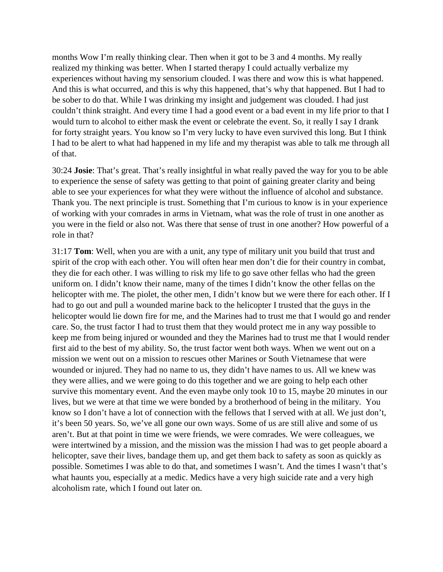months Wow I'm really thinking clear. Then when it got to be 3 and 4 months. My really realized my thinking was better. When I started therapy I could actually verbalize my experiences without having my sensorium clouded. I was there and wow this is what happened. And this is what occurred, and this is why this happened, that's why that happened. But I had to be sober to do that. While I was drinking my insight and judgement was clouded. I had just couldn't think straight. And every time I had a good event or a bad event in my life prior to that I would turn to alcohol to either mask the event or celebrate the event. So, it really I say I drank for forty straight years. You know so I'm very lucky to have even survived this long. But I think I had to be alert to what had happened in my life and my therapist was able to talk me through all of that.

30:24 **Josie**: That's great. That's really insightful in what really paved the way for you to be able to experience the sense of safety was getting to that point of gaining greater clarity and being able to see your experiences for what they were without the influence of alcohol and substance. Thank you. The next principle is trust. Something that I'm curious to know is in your experience of working with your comrades in arms in Vietnam, what was the role of trust in one another as you were in the field or also not. Was there that sense of trust in one another? How powerful of a role in that?

31:17 **Tom**: Well, when you are with a unit, any type of military unit you build that trust and spirit of the crop with each other. You will often hear men don't die for their country in combat, they die for each other. I was willing to risk my life to go save other fellas who had the green uniform on. I didn't know their name, many of the times I didn't know the other fellas on the helicopter with me. The piolet, the other men, I didn't know but we were there for each other. If I had to go out and pull a wounded marine back to the helicopter I trusted that the guys in the helicopter would lie down fire for me, and the Marines had to trust me that I would go and render care. So, the trust factor I had to trust them that they would protect me in any way possible to keep me from being injured or wounded and they the Marines had to trust me that I would render first aid to the best of my ability. So, the trust factor went both ways. When we went out on a mission we went out on a mission to rescues other Marines or South Vietnamese that were wounded or injured. They had no name to us, they didn't have names to us. All we knew was they were allies, and we were going to do this together and we are going to help each other survive this momentary event. And the even maybe only took 10 to 15, maybe 20 minutes in our lives, but we were at that time we were bonded by a brotherhood of being in the military. You know so I don't have a lot of connection with the fellows that I served with at all. We just don't, it's been 50 years. So, we've all gone our own ways. Some of us are still alive and some of us aren't. But at that point in time we were friends, we were comrades. We were colleagues, we were intertwined by a mission, and the mission was the mission I had was to get people aboard a helicopter, save their lives, bandage them up, and get them back to safety as soon as quickly as possible. Sometimes I was able to do that, and sometimes I wasn't. And the times I wasn't that's what haunts you, especially at a medic. Medics have a very high suicide rate and a very high alcoholism rate, which I found out later on.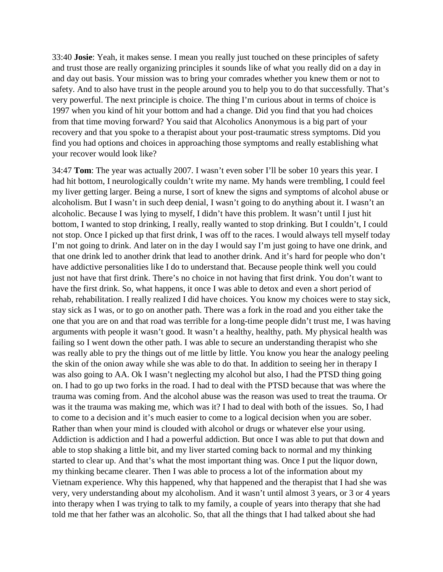33:40 **Josie**: Yeah, it makes sense. I mean you really just touched on these principles of safety and trust those are really organizing principles it sounds like of what you really did on a day in and day out basis. Your mission was to bring your comrades whether you knew them or not to safety. And to also have trust in the people around you to help you to do that successfully. That's very powerful. The next principle is choice. The thing I'm curious about in terms of choice is 1997 when you kind of hit your bottom and had a change. Did you find that you had choices from that time moving forward? You said that Alcoholics Anonymous is a big part of your recovery and that you spoke to a therapist about your post-traumatic stress symptoms. Did you find you had options and choices in approaching those symptoms and really establishing what your recover would look like?

34:47 **Tom**: The year was actually 2007. I wasn't even sober I'll be sober 10 years this year. I had hit bottom, I neurologically couldn't write my name. My hands were trembling, I could feel my liver getting larger. Being a nurse, I sort of knew the signs and symptoms of alcohol abuse or alcoholism. But I wasn't in such deep denial, I wasn't going to do anything about it. I wasn't an alcoholic. Because I was lying to myself, I didn't have this problem. It wasn't until I just hit bottom, I wanted to stop drinking, I really, really wanted to stop drinking. But I couldn't, I could not stop. Once I picked up that first drink, I was off to the races. I would always tell myself today I'm not going to drink. And later on in the day I would say I'm just going to have one drink, and that one drink led to another drink that lead to another drink. And it's hard for people who don't have addictive personalities like I do to understand that. Because people think well you could just not have that first drink. There's no choice in not having that first drink. You don't want to have the first drink. So, what happens, it once I was able to detox and even a short period of rehab, rehabilitation. I really realized I did have choices. You know my choices were to stay sick, stay sick as I was, or to go on another path. There was a fork in the road and you either take the one that you are on and that road was terrible for a long-time people didn't trust me, I was having arguments with people it wasn't good. It wasn't a healthy, healthy, path. My physical health was failing so I went down the other path. I was able to secure an understanding therapist who she was really able to pry the things out of me little by little. You know you hear the analogy peeling the skin of the onion away while she was able to do that. In addition to seeing her in therapy I was also going to AA. Ok I wasn't neglecting my alcohol but also, I had the PTSD thing going on. I had to go up two forks in the road. I had to deal with the PTSD because that was where the trauma was coming from. And the alcohol abuse was the reason was used to treat the trauma. Or was it the trauma was making me, which was it? I had to deal with both of the issues. So, I had to come to a decision and it's much easier to come to a logical decision when you are sober. Rather than when your mind is clouded with alcohol or drugs or whatever else your using. Addiction is addiction and I had a powerful addiction. But once I was able to put that down and able to stop shaking a little bit, and my liver started coming back to normal and my thinking started to clear up. And that's what the most important thing was. Once I put the liquor down, my thinking became clearer. Then I was able to process a lot of the information about my Vietnam experience. Why this happened, why that happened and the therapist that I had she was very, very understanding about my alcoholism. And it wasn't until almost 3 years, or 3 or 4 years into therapy when I was trying to talk to my family, a couple of years into therapy that she had told me that her father was an alcoholic. So, that all the things that I had talked about she had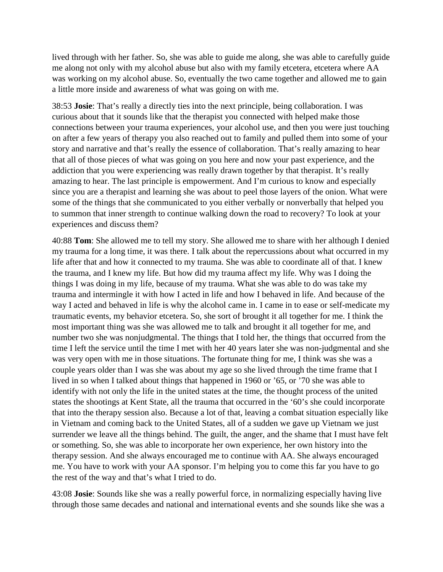lived through with her father. So, she was able to guide me along, she was able to carefully guide me along not only with my alcohol abuse but also with my family etcetera, etcetera where AA was working on my alcohol abuse. So, eventually the two came together and allowed me to gain a little more inside and awareness of what was going on with me.

38:53 **Josie**: That's really a directly ties into the next principle, being collaboration. I was curious about that it sounds like that the therapist you connected with helped make those connections between your trauma experiences, your alcohol use, and then you were just touching on after a few years of therapy you also reached out to family and pulled them into some of your story and narrative and that's really the essence of collaboration. That's really amazing to hear that all of those pieces of what was going on you here and now your past experience, and the addiction that you were experiencing was really drawn together by that therapist. It's really amazing to hear. The last principle is empowerment. And I'm curious to know and especially since you are a therapist and learning she was about to peel those layers of the onion. What were some of the things that she communicated to you either verbally or nonverbally that helped you to summon that inner strength to continue walking down the road to recovery? To look at your experiences and discuss them?

40:88 **Tom**: She allowed me to tell my story. She allowed me to share with her although I denied my trauma for a long time, it was there. I talk about the repercussions about what occurred in my life after that and how it connected to my trauma. She was able to coordinate all of that. I knew the trauma, and I knew my life. But how did my trauma affect my life. Why was I doing the things I was doing in my life, because of my trauma. What she was able to do was take my trauma and intermingle it with how I acted in life and how I behaved in life. And because of the way I acted and behaved in life is why the alcohol came in. I came in to ease or self-medicate my traumatic events, my behavior etcetera. So, she sort of brought it all together for me. I think the most important thing was she was allowed me to talk and brought it all together for me, and number two she was nonjudgmental. The things that I told her, the things that occurred from the time I left the service until the time I met with her 40 years later she was non-judgmental and she was very open with me in those situations. The fortunate thing for me, I think was she was a couple years older than I was she was about my age so she lived through the time frame that I lived in so when I talked about things that happened in 1960 or '65, or '70 she was able to identify with not only the life in the united states at the time, the thought process of the united states the shootings at Kent State, all the trauma that occurred in the '60's she could incorporate that into the therapy session also. Because a lot of that, leaving a combat situation especially like in Vietnam and coming back to the United States, all of a sudden we gave up Vietnam we just surrender we leave all the things behind. The guilt, the anger, and the shame that I must have felt or something. So, she was able to incorporate her own experience, her own history into the therapy session. And she always encouraged me to continue with AA. She always encouraged me. You have to work with your AA sponsor. I'm helping you to come this far you have to go the rest of the way and that's what I tried to do.

43:08 **Josie**: Sounds like she was a really powerful force, in normalizing especially having live through those same decades and national and international events and she sounds like she was a